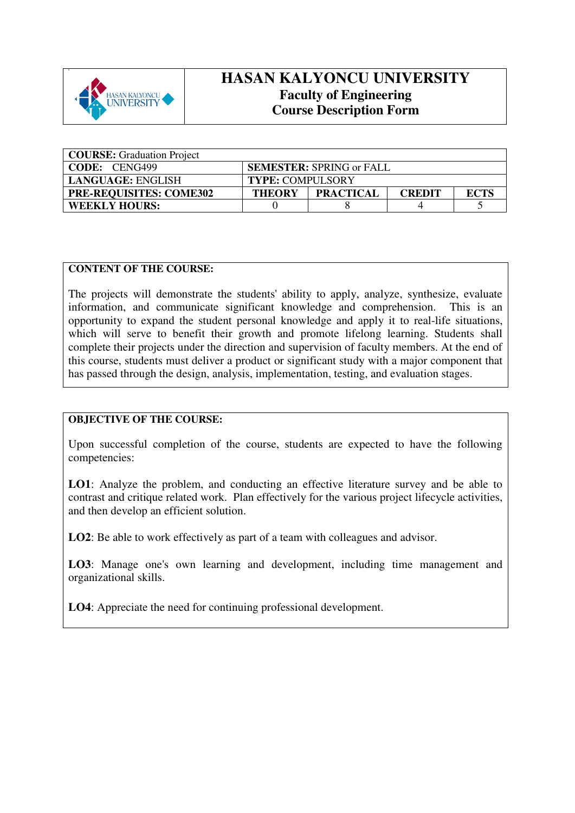

## **HASAN KALYONCU UNIVERSITY Faculty of Engineering Course Description Form**

| <b>COURSE:</b> Graduation Project |                                                                   |                                 |  |  |
|-----------------------------------|-------------------------------------------------------------------|---------------------------------|--|--|
| CODE: CENG499                     |                                                                   | <b>SEMESTER: SPRING or FALL</b> |  |  |
| <b>LANGUAGE: ENGLISH</b>          | <b>TYPE: COMPULSORY</b>                                           |                                 |  |  |
| <b>PRE-REQUISITES: COME302</b>    | <b>PRACTICAL</b><br><b>ECTS</b><br><b>CREDIT</b><br><b>THEORY</b> |                                 |  |  |
| <b>WEEKLY HOURS:</b>              |                                                                   |                                 |  |  |

## **CONTENT OF THE COURSE:**

The projects will demonstrate the students' ability to apply, analyze, synthesize, evaluate information, and communicate significant knowledge and comprehension. This is an opportunity to expand the student personal knowledge and apply it to real-life situations, which will serve to benefit their growth and promote lifelong learning. Students shall complete their projects under the direction and supervision of faculty members. At the end of this course, students must deliver a product or significant study with a major component that has passed through the design, analysis, implementation, testing, and evaluation stages.

## **OBJECTIVE OF THE COURSE:**

Upon successful completion of the course, students are expected to have the following competencies:

**LO1**: Analyze the problem, and conducting an effective literature survey and be able to contrast and critique related work. Plan effectively for the various project lifecycle activities, and then develop an efficient solution.

**LO2**: Be able to work effectively as part of a team with colleagues and advisor.

**LO3**: Manage one's own learning and development, including time management and organizational skills.

**LO4**: Appreciate the need for continuing professional development.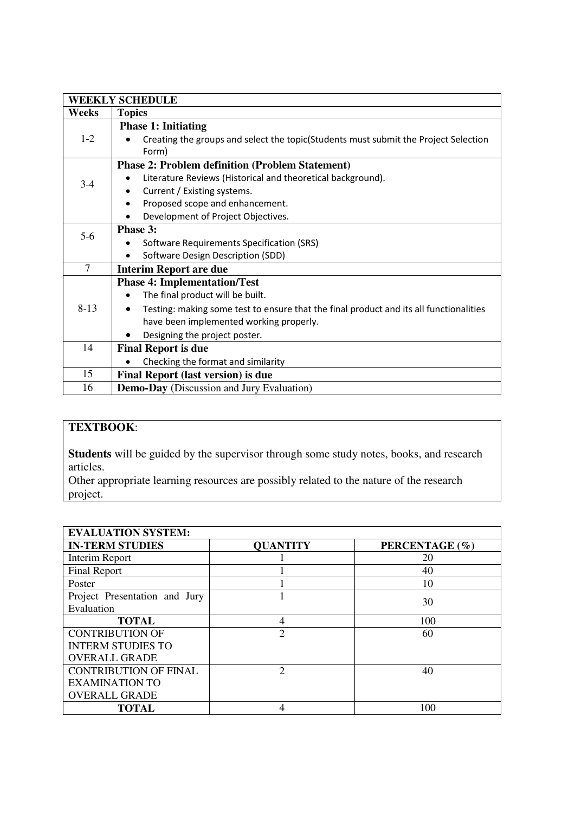|        | <b>WEEKLY SCHEDULE</b>                                                                 |  |  |  |  |  |
|--------|----------------------------------------------------------------------------------------|--|--|--|--|--|
| Weeks  | <b>Topics</b>                                                                          |  |  |  |  |  |
|        | <b>Phase 1: Initiating</b>                                                             |  |  |  |  |  |
| $1-2$  | Creating the groups and select the topic(Students must submit the Project Selection    |  |  |  |  |  |
|        | Form)                                                                                  |  |  |  |  |  |
|        | <b>Phase 2: Problem definition (Problem Statement)</b>                                 |  |  |  |  |  |
| $3-4$  | Literature Reviews (Historical and theoretical background).                            |  |  |  |  |  |
|        | Current / Existing systems.                                                            |  |  |  |  |  |
|        | Proposed scope and enhancement.                                                        |  |  |  |  |  |
|        | Development of Project Objectives.                                                     |  |  |  |  |  |
|        | Phase 3:                                                                               |  |  |  |  |  |
| $5-6$  | Software Requirements Specification (SRS)                                              |  |  |  |  |  |
|        | Software Design Description (SDD)                                                      |  |  |  |  |  |
| $\tau$ | <b>Interim Report are due</b>                                                          |  |  |  |  |  |
|        | <b>Phase 4: Implementation/Test</b>                                                    |  |  |  |  |  |
|        | The final product will be built.                                                       |  |  |  |  |  |
| $8-13$ | Testing: making some test to ensure that the final product and its all functionalities |  |  |  |  |  |
|        | have been implemented working properly.                                                |  |  |  |  |  |
|        | Designing the project poster.                                                          |  |  |  |  |  |
| 14     | <b>Final Report is due</b>                                                             |  |  |  |  |  |
|        | Checking the format and similarity                                                     |  |  |  |  |  |
| 15     | <b>Final Report (last version) is due</b>                                              |  |  |  |  |  |
| 16     | <b>Demo-Day</b> (Discussion and Jury Evaluation)                                       |  |  |  |  |  |

## **TEXTBOOK**:

**Students** will be guided by the supervisor through some study notes, books, and research articles.

Other appropriate learning resources are possibly related to the nature of the research project.

| <b>EVALUATION SYSTEM:</b>     |                 |                |  |  |  |
|-------------------------------|-----------------|----------------|--|--|--|
| <b>IN-TERM STUDIES</b>        | <b>QUANTITY</b> | PERCENTAGE (%) |  |  |  |
| Interim Report                |                 | 20             |  |  |  |
| <b>Final Report</b>           |                 | 40             |  |  |  |
| Poster                        |                 | 10             |  |  |  |
| Project Presentation and Jury |                 | 30             |  |  |  |
| Evaluation                    |                 |                |  |  |  |
| <b>TOTAL</b>                  | 4               | 100            |  |  |  |
| <b>CONTRIBUTION OF</b>        | $\overline{2}$  | 60             |  |  |  |
| <b>INTERM STUDIES TO</b>      |                 |                |  |  |  |
| <b>OVERALL GRADE</b>          |                 |                |  |  |  |
| <b>CONTRIBUTION OF FINAL</b>  | $\mathfrak{D}$  | 40             |  |  |  |
| <b>EXAMINATION TO</b>         |                 |                |  |  |  |
| <b>OVERALL GRADE</b>          |                 |                |  |  |  |
| <b>TOTAL</b>                  |                 | 100            |  |  |  |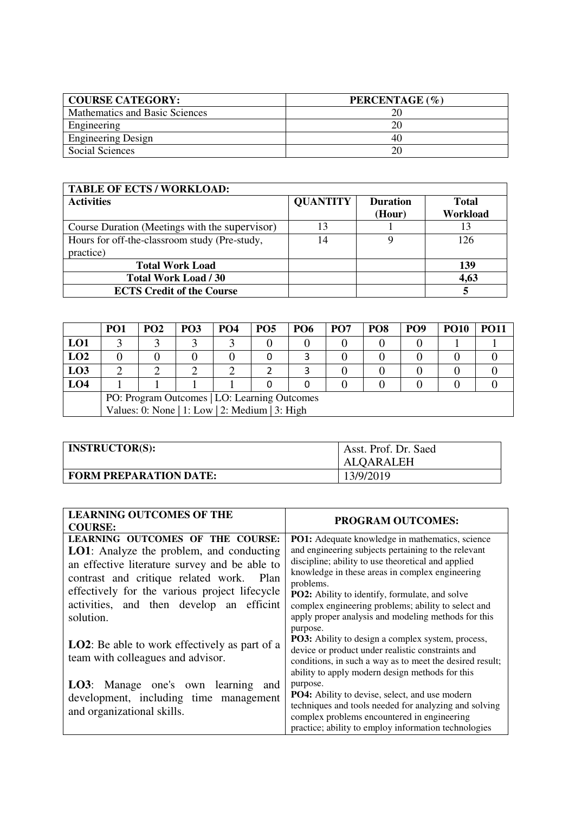| <b>COURSE CATEGORY:</b>        | PERCENTAGE (%) |
|--------------------------------|----------------|
| Mathematics and Basic Sciences |                |
| Engineering                    | 20             |
| <b>Engineering Design</b>      | 40             |
| Social Sciences                |                |

| <b>TABLE OF ECTS / WORKLOAD:</b>               |                 |                 |              |
|------------------------------------------------|-----------------|-----------------|--------------|
| <b>Activities</b>                              | <b>QUANTITY</b> | <b>Duration</b> | <b>Total</b> |
|                                                |                 | (Hour)          | Workload     |
| Course Duration (Meetings with the supervisor) | 13              |                 | 13           |
| Hours for off-the-classroom study (Pre-study,  | 14              |                 | 126          |
| practice)                                      |                 |                 |              |
| <b>Total Work Load</b>                         |                 |                 | 139          |
| <b>Total Work Load / 30</b>                    |                 |                 | 4,63         |
| <b>ECTS Credit of the Course</b>               |                 |                 |              |

|                 | PO <sub>1</sub>                                | PO <sub>2</sub> | <b>PO3</b> | PO <sub>4</sub> | <b>PO5</b> | <b>PO6</b> | PO <sub>7</sub> | PO <sub>8</sub> | <b>PO9</b> | <b>PO10</b> | <b>PO11</b> |
|-----------------|------------------------------------------------|-----------------|------------|-----------------|------------|------------|-----------------|-----------------|------------|-------------|-------------|
| LO1             |                                                |                 |            |                 |            |            |                 |                 |            |             |             |
| LO2             |                                                |                 |            |                 |            |            |                 |                 |            |             |             |
| L <sub>03</sub> |                                                |                 |            |                 |            |            |                 |                 |            |             |             |
| LO4             |                                                |                 |            |                 |            |            |                 |                 |            |             |             |
|                 | PO: Program Outcomes   LO: Learning Outcomes   |                 |            |                 |            |            |                 |                 |            |             |             |
|                 | Values: 0: None   1: Low   2: Medium   3: High |                 |            |                 |            |            |                 |                 |            |             |             |

| <b>INSTRUCTOR(S):</b>         | Asst. Prof. Dr. Saed<br>ALQARALEH |
|-------------------------------|-----------------------------------|
| <b>FORM PREPARATION DATE:</b> | 13/9/2019                         |

| <b>LEARNING OUTCOMES OF THE</b>                       | PROGRAM OUTCOMES:                                                                                            |
|-------------------------------------------------------|--------------------------------------------------------------------------------------------------------------|
| <b>COURSE:</b>                                        |                                                                                                              |
| LEARNING OUTCOMES OF THE COURSE:                      | <b>PO1:</b> Adequate knowledge in mathematics, science                                                       |
| LO1: Analyze the problem, and conducting              | and engineering subjects pertaining to the relevant                                                          |
| an effective literature survey and be able to         | discipline; ability to use theoretical and applied                                                           |
| contrast and critique related work. Plan              | knowledge in these areas in complex engineering                                                              |
| effectively for the various project lifecycle         | problems.                                                                                                    |
| activities, and then develop an efficint              | <b>PO2:</b> Ability to identify, formulate, and solve<br>complex engineering problems; ability to select and |
| solution.                                             | apply proper analysis and modeling methods for this                                                          |
|                                                       | purpose.                                                                                                     |
|                                                       | <b>PO3:</b> Ability to design a complex system, process,                                                     |
| <b>LO2</b> : Be able to work effectively as part of a | device or product under realistic constraints and                                                            |
| team with colleagues and advisor.                     | conditions, in such a way as to meet the desired result;                                                     |
|                                                       | ability to apply modern design methods for this                                                              |
| <b>LO3</b> : Manage one's own learning and            | purpose.                                                                                                     |
| development, including time management                | PO4: Ability to devise, select, and use modern                                                               |
| and organizational skills.                            | techniques and tools needed for analyzing and solving                                                        |
|                                                       | complex problems encountered in engineering                                                                  |
|                                                       | practice; ability to employ information technologies                                                         |